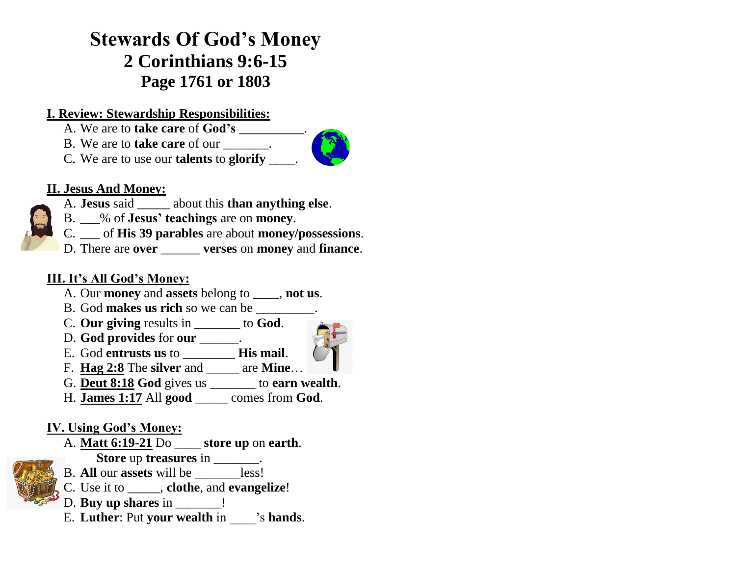# **Stewards Of God's Money 2 Corinthians 9:6-15 Page 1761 or 1803**

#### **I. Review: Stewardship Responsibilities:**

- A. We are to **take care** of **God's** \_\_\_\_\_\_\_\_\_\_.
- B. We are to **take care** of our \_\_\_\_\_\_\_.
- C. We are to use our **talents** to **glorify** \_\_\_\_.



- A. **Jesus** said \_\_\_\_\_ about this **than anything else**.
- B. \_\_\_% of **Jesus' teachings** are on **money**.
- C. \_\_\_ of **His 39 parables** are about **money/possessions**.
- D. There are **over** \_\_\_\_\_\_ **verses** on **money** and **finance**.

### **III. It's All God's Money:**

- A. Our **money** and **assets** belong to \_\_\_\_, **not us**.
- B. God **makes us rich** so we can be \_\_\_\_\_\_\_\_\_.
- C. **Our giving** results in \_\_\_\_\_\_\_ to **God**.
- D. **God provides** for **our** \_\_\_\_\_\_.



- E. God **entrusts us** to \_\_\_\_\_\_\_\_ **His mail**. F. **Hag 2:8** The **silver** and \_\_\_\_\_ are **Mine**…
- G. **Deut 8:18 God** gives us \_\_\_\_\_\_\_ to **earn wealth**.
- H. **James 1:17** All **good** \_\_\_\_\_ comes from **God**.

## **IV. Using God's Money:**

- A. **Matt 6:19-21** Do \_\_\_\_ **store up** on **earth**.  **Store** up **treasures** in \_\_\_\_\_\_\_.
- B. **All** our **assets** will be \_\_\_\_\_\_\_less!
- C. Use it to \_\_\_\_\_, **clothe**, and **evangelize**!
- D. **Buy up shares** in \_\_\_\_\_\_\_!
- E. **Luther**: Put **your wealth** in \_\_\_\_'s **hands**.